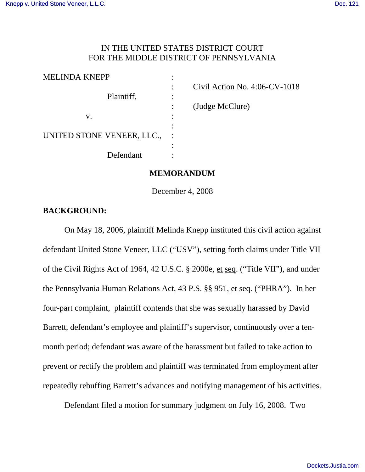# IN THE UNITED STATES DISTRICT COURT FOR THE MIDDLE DISTRICT OF PENNSYLVANIA

| <b>MELINDA KNEPP</b>       |  |
|----------------------------|--|
|                            |  |
| Plaintiff,                 |  |
|                            |  |
| V.                         |  |
|                            |  |
| UNITED STONE VENEER, LLC., |  |
|                            |  |
| Defendant                  |  |
|                            |  |

: Civil Action No. 4:06-CV-1018

: (Judge McClure)

### **MEMORANDUM**

December 4, 2008

### **BACKGROUND:**

On May 18, 2006, plaintiff Melinda Knepp instituted this civil action against defendant United Stone Veneer, LLC ("USV"), setting forth claims under Title VII of the Civil Rights Act of 1964, 42 U.S.C. § 2000e, et seq. ("Title VII"), and under the Pennsylvania Human Relations Act, 43 P.S. §§ 951, et seq. ("PHRA"). In her four-part complaint, plaintiff contends that she was sexually harassed by David Barrett, defendant's employee and plaintiff's supervisor, continuously over a tenmonth period; defendant was aware of the harassment but failed to take action to prevent or rectify the problem and plaintiff was terminated from employment after repeatedly rebuffing Barrett's advances and notifying management of his activities.

Defendant filed a motion for summary judgment on July 16, 2008. Two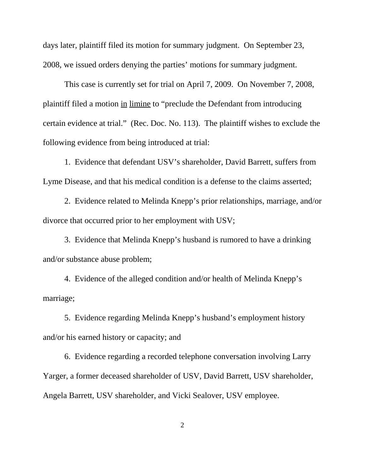days later, plaintiff filed its motion for summary judgment. On September 23, 2008, we issued orders denying the parties' motions for summary judgment.

This case is currently set for trial on April 7, 2009. On November 7, 2008, plaintiff filed a motion in limine to "preclude the Defendant from introducing certain evidence at trial." (Rec. Doc. No. 113). The plaintiff wishes to exclude the following evidence from being introduced at trial:

1. Evidence that defendant USV's shareholder, David Barrett, suffers from Lyme Disease, and that his medical condition is a defense to the claims asserted;

2. Evidence related to Melinda Knepp's prior relationships, marriage, and/or divorce that occurred prior to her employment with USV;

3. Evidence that Melinda Knepp's husband is rumored to have a drinking and/or substance abuse problem;

4. Evidence of the alleged condition and/or health of Melinda Knepp's marriage;

5. Evidence regarding Melinda Knepp's husband's employment history and/or his earned history or capacity; and

6. Evidence regarding a recorded telephone conversation involving Larry Yarger, a former deceased shareholder of USV, David Barrett, USV shareholder, Angela Barrett, USV shareholder, and Vicki Sealover, USV employee.

2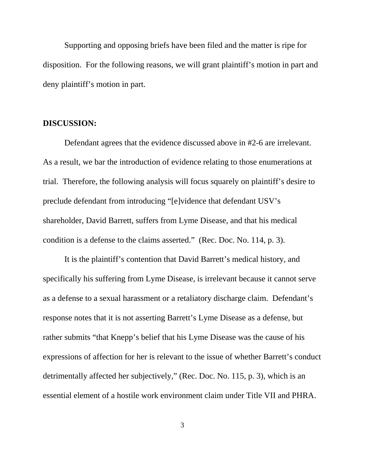Supporting and opposing briefs have been filed and the matter is ripe for disposition. For the following reasons, we will grant plaintiff's motion in part and deny plaintiff's motion in part.

#### **DISCUSSION:**

Defendant agrees that the evidence discussed above in #2-6 are irrelevant. As a result, we bar the introduction of evidence relating to those enumerations at trial. Therefore, the following analysis will focus squarely on plaintiff's desire to preclude defendant from introducing "[e]vidence that defendant USV's shareholder, David Barrett, suffers from Lyme Disease, and that his medical condition is a defense to the claims asserted." (Rec. Doc. No. 114, p. 3).

It is the plaintiff's contention that David Barrett's medical history, and specifically his suffering from Lyme Disease, is irrelevant because it cannot serve as a defense to a sexual harassment or a retaliatory discharge claim. Defendant's response notes that it is not asserting Barrett's Lyme Disease as a defense, but rather submits "that Knepp's belief that his Lyme Disease was the cause of his expressions of affection for her is relevant to the issue of whether Barrett's conduct detrimentally affected her subjectively," (Rec. Doc. No. 115, p. 3), which is an essential element of a hostile work environment claim under Title VII and PHRA.

3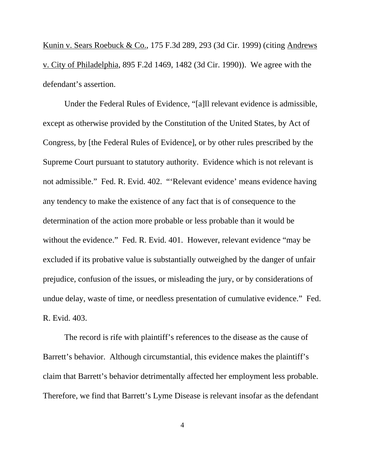Kunin v. Sears Roebuck & Co., 175 F.3d 289, 293 (3d Cir. 1999) (citing Andrews v. City of Philadelphia, 895 F.2d 1469, 1482 (3d Cir. 1990)). We agree with the defendant's assertion.

Under the Federal Rules of Evidence, "[a]ll relevant evidence is admissible, except as otherwise provided by the Constitution of the United States, by Act of Congress, by [the Federal Rules of Evidence], or by other rules prescribed by the Supreme Court pursuant to statutory authority. Evidence which is not relevant is not admissible."Fed. R. Evid. 402. "'Relevant evidence' means evidence having any tendency to make the existence of any fact that is of consequence to the determination of the action more probable or less probable than it would be without the evidence." Fed. R. Evid. 401. However, relevant evidence "may be excluded if its probative value is substantially outweighed by the danger of unfair prejudice, confusion of the issues, or misleading the jury, or by considerations of undue delay, waste of time, or needless presentation of cumulative evidence." Fed. R. Evid. 403.

The record is rife with plaintiff's references to the disease as the cause of Barrett's behavior. Although circumstantial, this evidence makes the plaintiff's claim that Barrett's behavior detrimentally affected her employment less probable. Therefore, we find that Barrett's Lyme Disease is relevant insofar as the defendant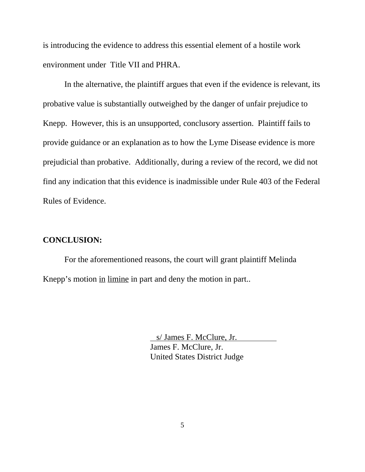is introducing the evidence to address this essential element of a hostile work environment under Title VII and PHRA.

In the alternative, the plaintiff argues that even if the evidence is relevant, its probative value is substantially outweighed by the danger of unfair prejudice to Knepp. However, this is an unsupported, conclusory assertion. Plaintiff fails to provide guidance or an explanation as to how the Lyme Disease evidence is more prejudicial than probative. Additionally, during a review of the record, we did not find any indication that this evidence is inadmissible under Rule 403 of the Federal Rules of Evidence.

# **CONCLUSION:**

For the aforementioned reasons, the court will grant plaintiff Melinda Knepp's motion in limine in part and deny the motion in part..

> s/ James F. McClure, Jr. James F. McClure, Jr. United States District Judge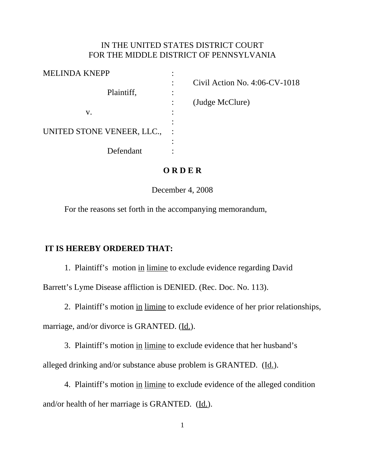#### IN THE UNITED STATES DISTRICT COURT FOR THE MIDDLE DISTRICT OF PENNSYLVANIA

| Civil Action No. $4:06$ -CV-1018 |
|----------------------------------|
|                                  |
| (Judge McClure)                  |
|                                  |
|                                  |
|                                  |
|                                  |
|                                  |
|                                  |

# **O R D E R**

December 4, 2008

For the reasons set forth in the accompanying memorandum,

# **IT IS HEREBY ORDERED THAT:**

1. Plaintiff's motion in limine to exclude evidence regarding David

Barrett's Lyme Disease affliction is DENIED. (Rec. Doc. No. 113).

2. Plaintiff's motion in limine to exclude evidence of her prior relationships,

marriage, and/or divorce is GRANTED. (Id.).

3. Plaintiff's motion in limine to exclude evidence that her husband's

alleged drinking and/or substance abuse problem is GRANTED. (Id.).

4. Plaintiff's motion in limine to exclude evidence of the alleged condition and/or health of her marriage is GRANTED. (Id.).